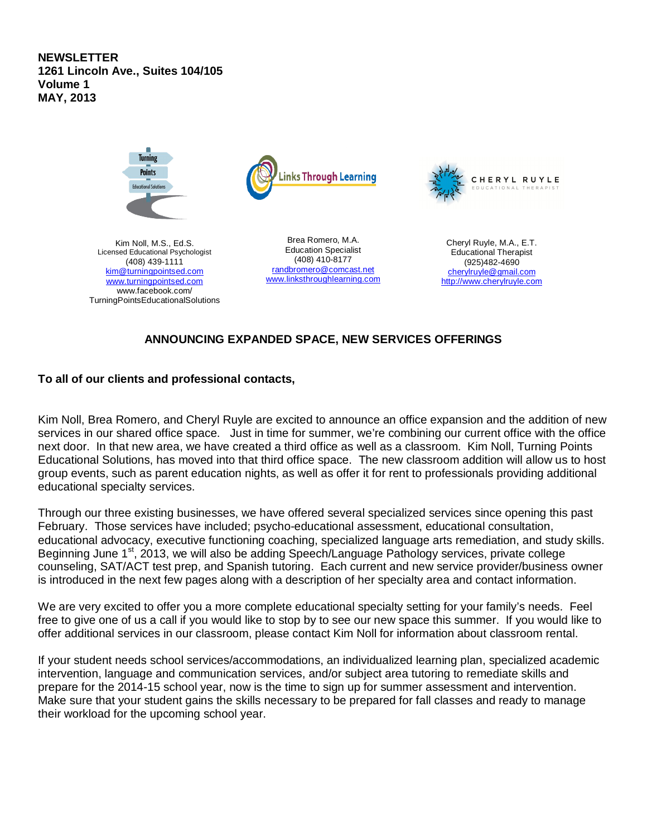**NEWSLETTER 1261 Lincoln Ave., Suites 104/105 Volume 1 MAY, 2013**



Kim Noll, M.S., Ed.S. Licensed Educational Psychologist (408) 439-1111 kim@turningpointsed.com www.turningpointsed.com www.facebook.com/ TurningPointsEducationalSolutions

**Turning Points** 

> Brea Romero, M.A. Education Specialist (408) 410-8177 randbromero@comcast.net www.linksthroughlearning.com



Cheryl Ruyle, M.A., E.T. Educational Therapist (925)482-4690 cherylruyle@gmail.com http://www.cherylruyle.com

# **ANNOUNCING EXPANDED SPACE, NEW SERVICES OFFERINGS**

# **To all of our clients and professional contacts,**

Kim Noll, Brea Romero, and Cheryl Ruyle are excited to announce an office expansion and the addition of new services in our shared office space. Just in time for summer, we're combining our current office with the office next door. In that new area, we have created a third office as well as a classroom. Kim Noll, Turning Points Educational Solutions, has moved into that third office space. The new classroom addition will allow us to host group events, such as parent education nights, as well as offer it for rent to professionals providing additional educational specialty services.

Through our three existing businesses, we have offered several specialized services since opening this past February. Those services have included; psycho-educational assessment, educational consultation, educational advocacy, executive functioning coaching, specialized language arts remediation, and study skills. Beginning June 1<sup>st</sup>, 2013, we will also be adding Speech/Language Pathology services, private college counseling, SAT/ACT test prep, and Spanish tutoring. Each current and new service provider/business owner is introduced in the next few pages along with a description of her specialty area and contact information.

We are very excited to offer you a more complete educational specialty setting for your family's needs. Feel free to give one of us a call if you would like to stop by to see our new space this summer. If you would like to offer additional services in our classroom, please contact Kim Noll for information about classroom rental.

If your student needs school services/accommodations, an individualized learning plan, specialized academic intervention, language and communication services, and/or subject area tutoring to remediate skills and prepare for the 2014-15 school year, now is the time to sign up for summer assessment and intervention. Make sure that your student gains the skills necessary to be prepared for fall classes and ready to manage their workload for the upcoming school year.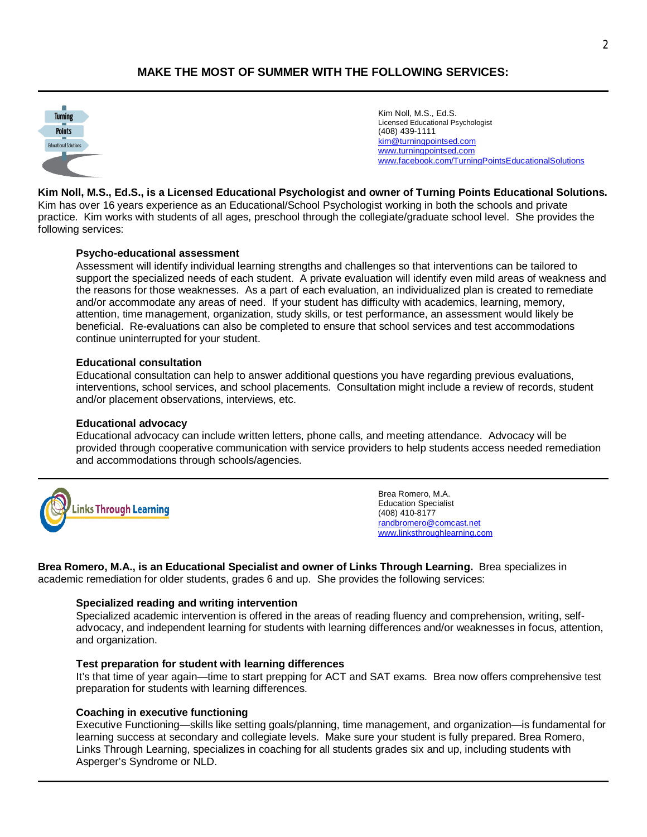# **MAKE THE MOST OF SUMMER WITH THE FOLLOWING SERVICES:**



Kim Noll, M.S., Ed.S. Licensed Educational Psychologist (408) 439-1111 kim@turningpointsed.com www.turningpointsed.com www.facebook.com/TurningPointsEducationalSolutions

**Kim Noll, M.S., Ed.S., is a Licensed Educational Psychologist and owner of Turning Points Educational Solutions.** Kim has over 16 years experience as an Educational/School Psychologist working in both the schools and private practice. Kim works with students of all ages, preschool through the collegiate/graduate school level. She provides the following services:

### **Psycho-educational assessment**

Assessment will identify individual learning strengths and challenges so that interventions can be tailored to support the specialized needs of each student. A private evaluation will identify even mild areas of weakness and the reasons for those weaknesses. As a part of each evaluation, an individualized plan is created to remediate and/or accommodate any areas of need. If your student has difficulty with academics, learning, memory, attention, time management, organization, study skills, or test performance, an assessment would likely be beneficial. Re-evaluations can also be completed to ensure that school services and test accommodations continue uninterrupted for your student.

### **Educational consultation**

Educational consultation can help to answer additional questions you have regarding previous evaluations, interventions, school services, and school placements. Consultation might include a review of records, student and/or placement observations, interviews, etc.

#### **Educational advocacy**

Educational advocacy can include written letters, phone calls, and meeting attendance. Advocacy will be provided through cooperative communication with service providers to help students access needed remediation and accommodations through schools/agencies.



Brea Romero, M.A. Education Specialist (408) 410-8177 randbromero@comcast.net www.linksthroughlearning.com

**Brea Romero, M.A., is an Educational Specialist and owner of Links Through Learning.** Brea specializes in academic remediation for older students, grades 6 and up. She provides the following services:

#### **Specialized reading and writing intervention**

Specialized academic intervention is offered in the areas of reading fluency and comprehension, writing, selfadvocacy, and independent learning for students with learning differences and/or weaknesses in focus, attention, and organization.

### **Test preparation for student with learning differences**

It's that time of year again—time to start prepping for ACT and SAT exams. Brea now offers comprehensive test preparation for students with learning differences.

### **Coaching in executive functioning**

Executive Functioning—skills like setting goals/planning, time management, and organization—is fundamental for learning success at secondary and collegiate levels. Make sure your student is fully prepared. Brea Romero, Links Through Learning, specializes in coaching for all students grades six and up, including students with Asperger's Syndrome or NLD.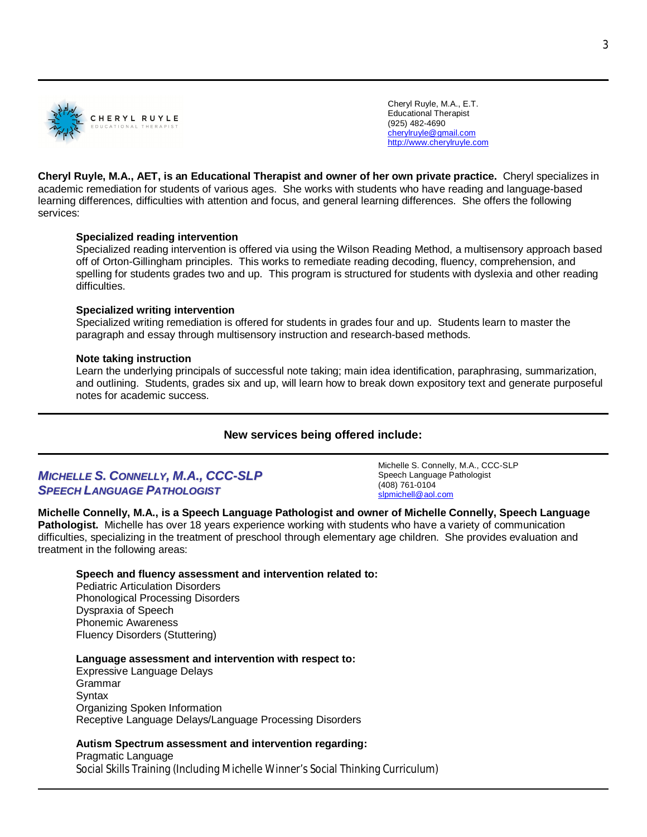

Cheryl Ruyle, M.A., E.T. Educational Therapist (925) 482-4690 cherylruyle@gmail.com http://www.cherylruyle.com

**Cheryl Ruyle, M.A., AET, is an Educational Therapist and owner of her own private practice.** Cheryl specializes in academic remediation for students of various ages. She works with students who have reading and language-based learning differences, difficulties with attention and focus, and general learning differences. She offers the following services:

## **Specialized reading intervention**

Specialized reading intervention is offered via using the Wilson Reading Method, a multisensory approach based off of Orton-Gillingham principles. This works to remediate reading decoding, fluency, comprehension, and spelling for students grades two and up. This program is structured for students with dyslexia and other reading difficulties.

### **Specialized writing intervention**

Specialized writing remediation is offered for students in grades four and up. Students learn to master the paragraph and essay through multisensory instruction and research-based methods.

### **Note taking instruction**

Learn the underlying principals of successful note taking; main idea identification, paraphrasing, summarization, and outlining. Students, grades six and up, will learn how to break down expository text and generate purposeful notes for academic success.

# **New services being offered include:**

# *MICHELLE S. CONNELLY, M.A., CCC-SLP SPEECH LANGUAGE PATHOLOGIST*

Michelle S. Connelly, M.A., CCC-SLP Speech Language Pathologist (408) 761-0104 slpmichell@aol.com

## **Michelle Connelly, M.A., is a Speech Language Pathologist and owner of Michelle Connelly, Speech Language Pathologist.** Michelle has over 18 years experience working with students who have a variety of communication difficulties, specializing in the treatment of preschool through elementary age children. She provides evaluation and treatment in the following areas:

### **Speech and fluency assessment and intervention related to:**

Pediatric Articulation Disorders Phonological Processing Disorders Dyspraxia of Speech Phonemic Awareness Fluency Disorders (Stuttering)

**Language assessment and intervention with respect to:**

Expressive Language Delays Grammar **Syntax** Organizing Spoken Information Receptive Language Delays/Language Processing Disorders

## **Autism Spectrum assessment and intervention regarding:**

Pragmatic Language Social Skills Training (Including Michelle Winner's Social Thinking Curriculum)